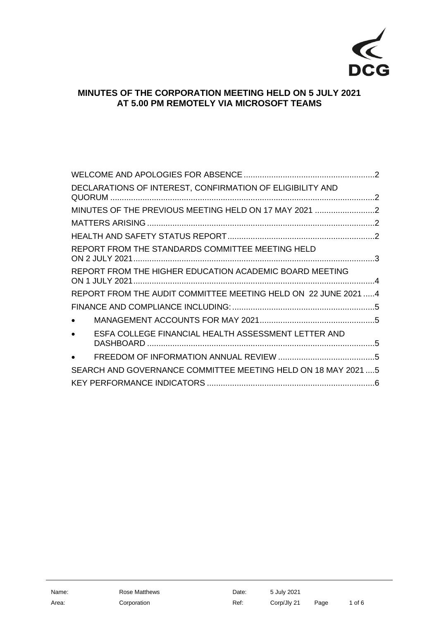

# **MINUTES OF THE CORPORATION MEETING HELD ON 5 JULY 2021 AT 5.00 PM REMOTELY VIA MICROSOFT TEAMS**

| DECLARATIONS OF INTEREST, CONFIRMATION OF ELIGIBILITY AND        |  |
|------------------------------------------------------------------|--|
| MINUTES OF THE PREVIOUS MEETING HELD ON 17 MAY 2021 2            |  |
|                                                                  |  |
|                                                                  |  |
| REPORT FROM THE STANDARDS COMMITTEE MEETING HELD                 |  |
| REPORT FROM THE HIGHER EDUCATION ACADEMIC BOARD MEETING          |  |
| REPORT FROM THE AUDIT COMMITTEE MEETING HELD ON 22 JUNE 2021  4  |  |
|                                                                  |  |
| $\bullet$                                                        |  |
| ESFA COLLEGE FINANCIAL HEALTH ASSESSMENT LETTER AND<br>$\bullet$ |  |
|                                                                  |  |
| SEARCH AND GOVERNANCE COMMITTEE MEETING HELD ON 18 MAY 2021  5   |  |
|                                                                  |  |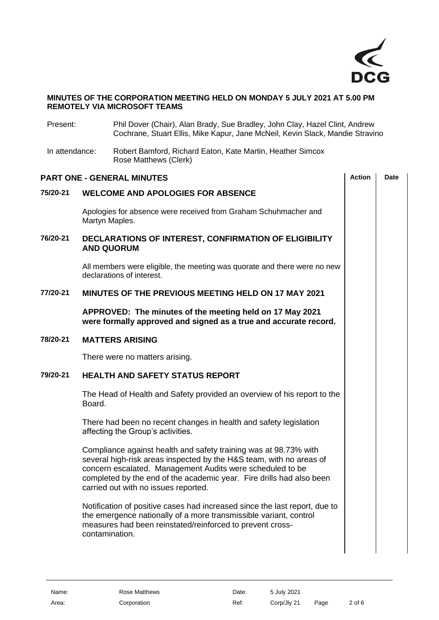

#### **MINUTES OF THE CORPORATION MEETING HELD ON MONDAY 5 JULY 2021 AT 5.00 PM REMOTELY VIA MICROSOFT TEAMS**

<span id="page-1-4"></span><span id="page-1-3"></span><span id="page-1-2"></span><span id="page-1-1"></span><span id="page-1-0"></span>

| Present:       |                                                                                                                              | Phil Dover (Chair), Alan Brady, Sue Bradley, John Clay, Hazel Clint, Andrew<br>Cochrane, Stuart Ellis, Mike Kapur, Jane McNeil, Kevin Slack, Mandie Stravino                                                                                                                                                         |               |             |  |  |  |  |
|----------------|------------------------------------------------------------------------------------------------------------------------------|----------------------------------------------------------------------------------------------------------------------------------------------------------------------------------------------------------------------------------------------------------------------------------------------------------------------|---------------|-------------|--|--|--|--|
| In attendance: |                                                                                                                              | Robert Bamford, Richard Eaton, Kate Martin, Heather Simcox<br>Rose Matthews (Clerk)                                                                                                                                                                                                                                  |               |             |  |  |  |  |
|                |                                                                                                                              | <b>PART ONE - GENERAL MINUTES</b>                                                                                                                                                                                                                                                                                    | <b>Action</b> | <b>Date</b> |  |  |  |  |
| 75/20-21       | <b>WELCOME AND APOLOGIES FOR ABSENCE</b>                                                                                     |                                                                                                                                                                                                                                                                                                                      |               |             |  |  |  |  |
|                | Apologies for absence were received from Graham Schuhmacher and<br>Martyn Maples.                                            |                                                                                                                                                                                                                                                                                                                      |               |             |  |  |  |  |
| 76/20-21       | DECLARATIONS OF INTEREST, CONFIRMATION OF ELIGIBILITY<br><b>AND QUORUM</b>                                                   |                                                                                                                                                                                                                                                                                                                      |               |             |  |  |  |  |
|                | All members were eligible, the meeting was quorate and there were no new<br>declarations of interest.                        |                                                                                                                                                                                                                                                                                                                      |               |             |  |  |  |  |
| 77/20-21       | MINUTES OF THE PREVIOUS MEETING HELD ON 17 MAY 2021                                                                          |                                                                                                                                                                                                                                                                                                                      |               |             |  |  |  |  |
|                | APPROVED: The minutes of the meeting held on 17 May 2021<br>were formally approved and signed as a true and accurate record. |                                                                                                                                                                                                                                                                                                                      |               |             |  |  |  |  |
| 78/20-21       | <b>MATTERS ARISING</b>                                                                                                       |                                                                                                                                                                                                                                                                                                                      |               |             |  |  |  |  |
|                |                                                                                                                              | There were no matters arising.                                                                                                                                                                                                                                                                                       |               |             |  |  |  |  |
| 79/20-21       | <b>HEALTH AND SAFETY STATUS REPORT</b>                                                                                       |                                                                                                                                                                                                                                                                                                                      |               |             |  |  |  |  |
|                | Board.                                                                                                                       | The Head of Health and Safety provided an overview of his report to the                                                                                                                                                                                                                                              |               |             |  |  |  |  |
|                |                                                                                                                              | There had been no recent changes in health and safety legislation<br>affecting the Group's activities.                                                                                                                                                                                                               |               |             |  |  |  |  |
|                |                                                                                                                              | Compliance against health and safety training was at 98.73% with<br>several high-risk areas inspected by the H&S team, with no areas of<br>concern escalated. Management Audits were scheduled to be<br>completed by the end of the academic year. Fire drills had also been<br>carried out with no issues reported. |               |             |  |  |  |  |
|                | contamination.                                                                                                               | Notification of positive cases had increased since the last report, due to<br>the emergence nationally of a more transmissible variant, control<br>measures had been reinstated/reinforced to prevent cross-                                                                                                         |               |             |  |  |  |  |
|                |                                                                                                                              |                                                                                                                                                                                                                                                                                                                      |               |             |  |  |  |  |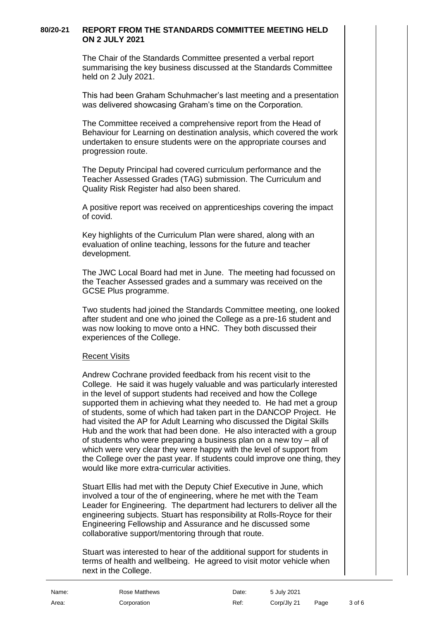### **80/20-21 REPORT FROM THE STANDARDS COMMITTEE MEETING HELD ON 2 JULY 2021**

<span id="page-2-0"></span>The Chair of the Standards Committee presented a verbal report summarising the key business discussed at the Standards Committee held on 2 July 2021.

This had been Graham Schuhmacher's last meeting and a presentation was delivered showcasing Graham's time on the Corporation.

The Committee received a comprehensive report from the Head of Behaviour for Learning on destination analysis, which covered the work undertaken to ensure students were on the appropriate courses and progression route.

The Deputy Principal had covered curriculum performance and the Teacher Assessed Grades (TAG) submission. The Curriculum and Quality Risk Register had also been shared.

A positive report was received on apprenticeships covering the impact of covid.

Key highlights of the Curriculum Plan were shared, along with an evaluation of online teaching, lessons for the future and teacher development.

The JWC Local Board had met in June. The meeting had focussed on the Teacher Assessed grades and a summary was received on the GCSE Plus programme.

Two students had joined the Standards Committee meeting, one looked after student and one who joined the College as a pre-16 student and was now looking to move onto a HNC. They both discussed their experiences of the College.

### Recent Visits

Andrew Cochrane provided feedback from his recent visit to the College. He said it was hugely valuable and was particularly interested in the level of support students had received and how the College supported them in achieving what they needed to. He had met a group of students, some of which had taken part in the DANCOP Project. He had visited the AP for Adult Learning who discussed the Digital Skills Hub and the work that had been done. He also interacted with a group of students who were preparing a business plan on a new toy – all of which were very clear they were happy with the level of support from the College over the past year. If students could improve one thing, they would like more extra-curricular activities.

Stuart Ellis had met with the Deputy Chief Executive in June, which involved a tour of the of engineering, where he met with the Team Leader for Engineering. The department had lecturers to deliver all the engineering subjects. Stuart has responsibility at Rolls-Royce for their Engineering Fellowship and Assurance and he discussed some collaborative support/mentoring through that route.

Stuart was interested to hear of the additional support for students in terms of health and wellbeing. He agreed to visit motor vehicle when next in the College.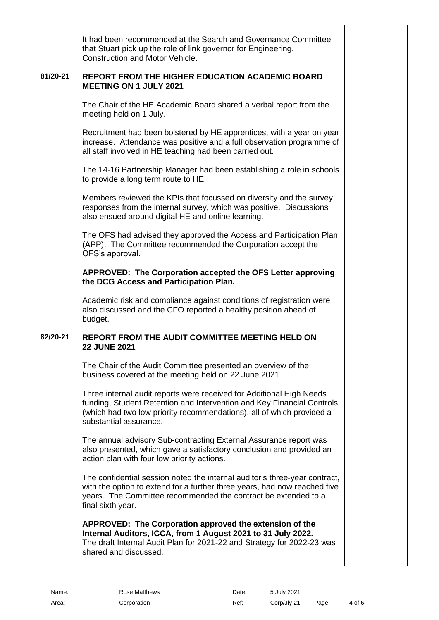It had been recommended at the Search and Governance Committee that Stuart pick up the role of link governor for Engineering, Construction and Motor Vehicle.

### **81/20-21 REPORT FROM THE HIGHER EDUCATION ACADEMIC BOARD MEETING ON 1 JULY 2021**

<span id="page-3-0"></span>The Chair of the HE Academic Board shared a verbal report from the meeting held on 1 July.

Recruitment had been bolstered by HE apprentices, with a year on year increase. Attendance was positive and a full observation programme of all staff involved in HE teaching had been carried out.

The 14-16 Partnership Manager had been establishing a role in schools to provide a long term route to HE.

Members reviewed the KPIs that focussed on diversity and the survey responses from the internal survey, which was positive. Discussions also ensued around digital HE and online learning.

The OFS had advised they approved the Access and Participation Plan (APP). The Committee recommended the Corporation accept the OFS's approval.

#### **APPROVED: The Corporation accepted the OFS Letter approving the DCG Access and Participation Plan.**

Academic risk and compliance against conditions of registration were also discussed and the CFO reported a healthy position ahead of budget.

### **82/20-21 REPORT FROM THE AUDIT COMMITTEE MEETING HELD ON 22 JUNE 2021**

<span id="page-3-1"></span>The Chair of the Audit Committee presented an overview of the business covered at the meeting held on 22 June 2021

Three internal audit reports were received for Additional High Needs funding, Student Retention and Intervention and Key Financial Controls (which had two low priority recommendations), all of which provided a substantial assurance.

The annual advisory Sub-contracting External Assurance report was also presented, which gave a satisfactory conclusion and provided an action plan with four low priority actions.

The confidential session noted the internal auditor's three-year contract, with the option to extend for a further three years, had now reached five years. The Committee recommended the contract be extended to a final sixth year.

## **APPROVED: The Corporation approved the extension of the Internal Auditors, ICCA, from 1 August 2021 to 31 July 2022.**

The draft Internal Audit Plan for 2021-22 and Strategy for 2022-23 was shared and discussed.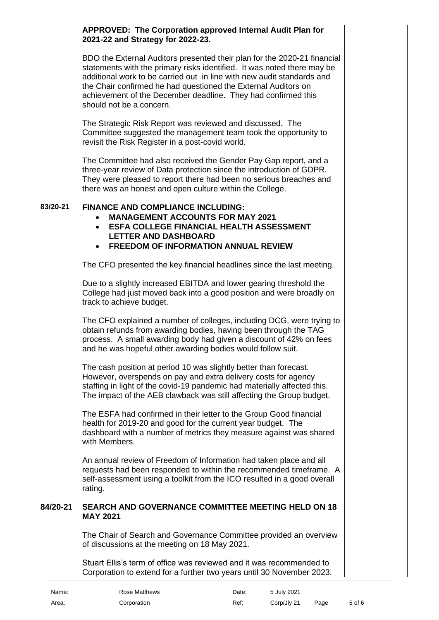### **APPROVED: The Corporation approved Internal Audit Plan for 2021-22 and Strategy for 2022-23.**

BDO the External Auditors presented their plan for the 2020-21 financial statements with the primary risks identified. It was noted there may be additional work to be carried out in line with new audit standards and the Chair confirmed he had questioned the External Auditors on achievement of the December deadline. They had confirmed this should not be a concern.

The Strategic Risk Report was reviewed and discussed. The Committee suggested the management team took the opportunity to revisit the Risk Register in a post-covid world.

The Committee had also received the Gender Pay Gap report, and a three-year review of Data protection since the introduction of GDPR. They were pleased to report there had been no serious breaches and there was an honest and open culture within the College.

## **83/20-21 FINANCE AND COMPLIANCE INCLUDING:**

- <span id="page-4-1"></span><span id="page-4-0"></span>• **MANAGEMENT ACCOUNTS FOR MAY 2021**
- <span id="page-4-2"></span>• **ESFA COLLEGE FINANCIAL HEALTH ASSESSMENT LETTER AND DASHBOARD**
- <span id="page-4-3"></span>• **FREEDOM OF INFORMATION ANNUAL REVIEW**

The CFO presented the key financial headlines since the last meeting.

Due to a slightly increased EBITDA and lower gearing threshold the College had just moved back into a good position and were broadly on track to achieve budget.

The CFO explained a number of colleges, including DCG, were trying to obtain refunds from awarding bodies, having been through the TAG process. A small awarding body had given a discount of 42% on fees and he was hopeful other awarding bodies would follow suit.

The cash position at period 10 was slightly better than forecast. However, overspends on pay and extra delivery costs for agency staffing in light of the covid-19 pandemic had materially affected this. The impact of the AEB clawback was still affecting the Group budget.

The ESFA had confirmed in their letter to the Group Good financial health for 2019-20 and good for the current year budget. The dashboard with a number of metrics they measure against was shared with Members.

An annual review of Freedom of Information had taken place and all requests had been responded to within the recommended timeframe. A self-assessment using a toolkit from the ICO resulted in a good overall rating.

### **84/20-21 SEARCH AND GOVERNANCE COMMITTEE MEETING HELD ON 18 MAY 2021**

<span id="page-4-4"></span>The Chair of Search and Governance Committee provided an overview of discussions at the meeting on 18 May 2021.

Stuart Ellis's term of office was reviewed and it was recommended to Corporation to extend for a further two years until 30 November 2023.

| Name: | Rose Matthews | Date: | 5 July 2021 |      |        |
|-------|---------------|-------|-------------|------|--------|
| Area: | Corporation   | Ref:  | Corp/Jly 21 | Page | 5 of 6 |